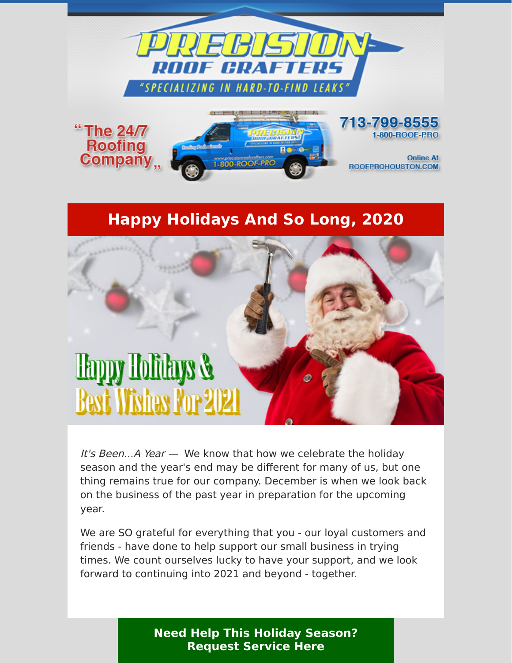



## **Happy Holidays And So Long, 2020**



It's Been...A Year  $-$  We know that how we celebrate the holiday season and the year's end may be different for many of us, but one thing remains true for our company. December is when we look back on the business of the past year in preparation for the upcoming year.

We are SO grateful for everything that you - our loyal customers and friends - have done to help support our small business in trying times. We count ourselves lucky to have your support, and we look forward to continuing into 2021 and beyond - together.

> **[Need Help This Holiday Season?](https://www.precisionroofcrafters.com/contact-us.php) Request Service Here**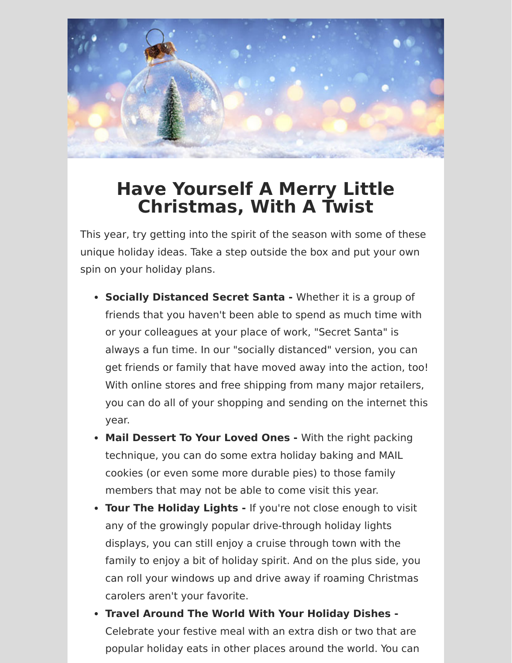

## **Have Yourself A Merry Little Christmas, With A Twist**

This year, try getting into the spirit of the season with some of these unique holiday ideas. Take a step outside the box and put your own spin on your holiday plans.

- **Socially Distanced Secret Santa** Whether it is a group of friends that you haven't been able to spend as much time with or your colleagues at your place of work, "Secret Santa" is always a fun time. In our "socially distanced" version, you can get friends or family that have moved away into the action, too! With online stores and free shipping from many major retailers, you can do all of your shopping and sending on the internet this year.
- **Mail Dessert To Your Loved Ones** With the right packing technique, you can do some extra holiday baking and MAIL cookies (or even some more durable pies) to those family members that may not be able to come visit this year.
- **Tour The Holiday Lights** If you're not close enough to visit any of the growingly popular drive-through holiday lights displays, you can still enjoy a cruise through town with the family to enjoy a bit of holiday spirit. And on the plus side, you can roll your windows up and drive away if roaming Christmas carolers aren't your favorite.
- **Travel Around The World With Your Holiday Dishes -** Celebrate your festive meal with an extra dish or two that are popular holiday eats in other places around the world. You can